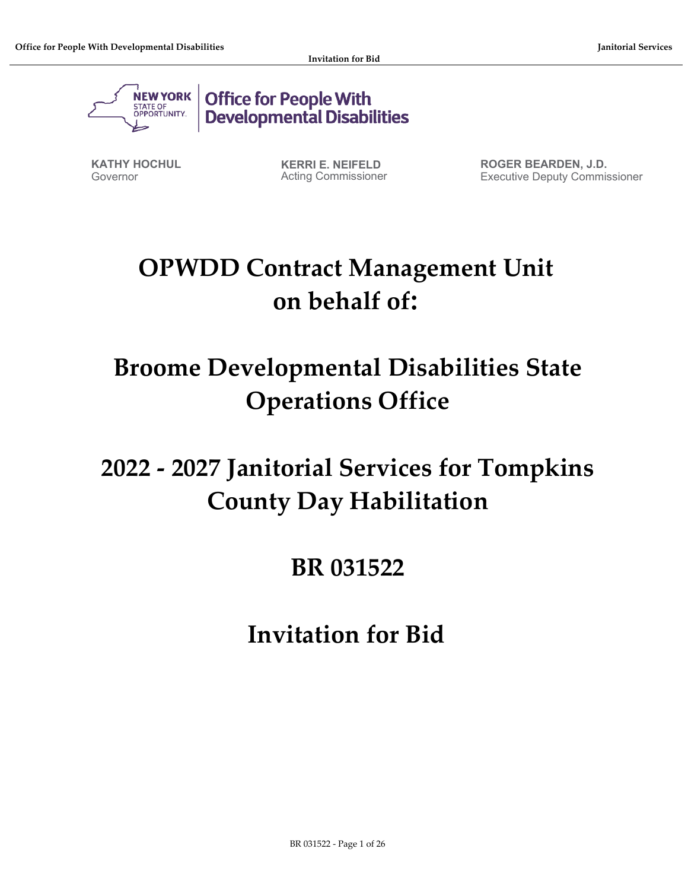

**Office for People With Developmental Disabilities** 

**KATHY HOCHUL** Governor

**KERRI E. NEIFELD** Acting Commissioner **ROGER BEARDEN, J.D.** Executive Deputy Commissioner

# **OPWDD Contract Management Unit on behalf of:**

# **Broome Developmental Disabilities State Operations Office**

# **2022 - 2027 Janitorial Services for Tompkins County Day Habilitation**

# **BR 031522**

**Invitation for Bid**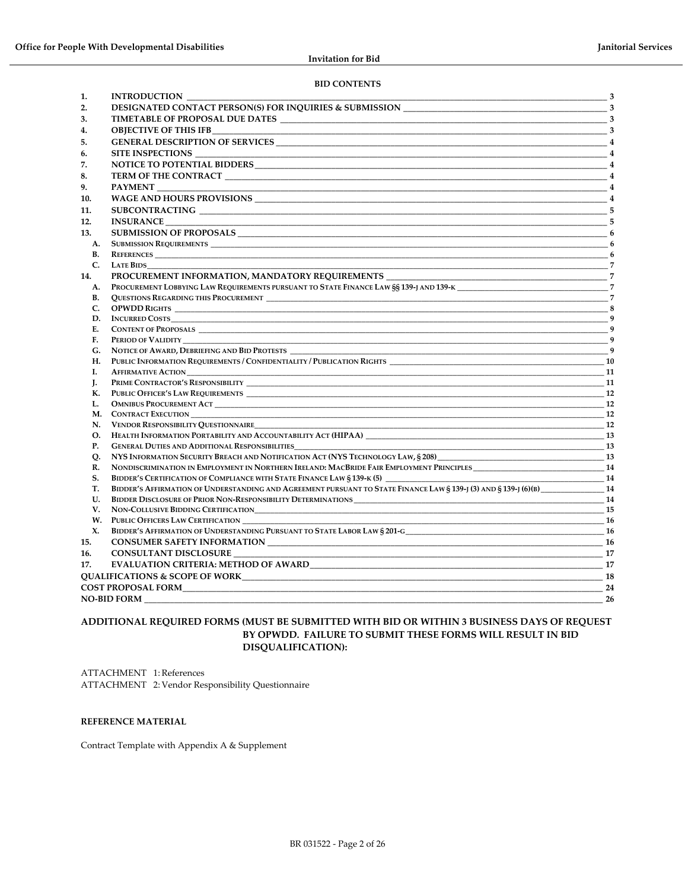#### **BID CONTENTS**

| 1.        | <b>INTRODUCTION</b>                                                                                                                                                                                                            | $\overline{\mathbf{3}}$ |
|-----------|--------------------------------------------------------------------------------------------------------------------------------------------------------------------------------------------------------------------------------|-------------------------|
| 2.        |                                                                                                                                                                                                                                |                         |
| 3.        |                                                                                                                                                                                                                                |                         |
| 4.        |                                                                                                                                                                                                                                |                         |
| 5.        |                                                                                                                                                                                                                                |                         |
| 6.        | SITE INSPECTIONS                                                                                                                                                                                                               | $\overline{4}$          |
| 7.        |                                                                                                                                                                                                                                |                         |
| 8.        |                                                                                                                                                                                                                                |                         |
| 9.        | <b>PAYMENT</b>                                                                                                                                                                                                                 |                         |
| 10.       |                                                                                                                                                                                                                                |                         |
| 11.       |                                                                                                                                                                                                                                |                         |
| 12.       |                                                                                                                                                                                                                                |                         |
| 13.       |                                                                                                                                                                                                                                |                         |
| A.        |                                                                                                                                                                                                                                |                         |
| В.        | <b>REFERENCES</b>                                                                                                                                                                                                              |                         |
| C.        | <b>LATE BIDS</b>                                                                                                                                                                                                               |                         |
| 14.       | PROCUREMENT INFORMATION, MANDATORY REQUIREMENTS 7 7                                                                                                                                                                            |                         |
| A.        | PROCUREMENT LOBBYING LAW REQUIREMENTS PURSUANT TO STATE FINANCE LAW SS 139-J AND 139-K                                                                                                                                         |                         |
| В.        |                                                                                                                                                                                                                                | $\overline{7}$          |
| C.        |                                                                                                                                                                                                                                |                         |
| D.        |                                                                                                                                                                                                                                |                         |
| E.        |                                                                                                                                                                                                                                |                         |
| F.        |                                                                                                                                                                                                                                | $\mathbf{q}$            |
| G.        | NOTICE OF AWARD, DEBRIEFING AND BID PROTESTS                                                                                                                                                                                   | $\overline{9}$          |
| Н.        |                                                                                                                                                                                                                                |                         |
| Ι.        |                                                                                                                                                                                                                                |                         |
| J.        |                                                                                                                                                                                                                                |                         |
| К.        |                                                                                                                                                                                                                                |                         |
| L.        |                                                                                                                                                                                                                                | 12                      |
|           |                                                                                                                                                                                                                                | 12                      |
| N.        | <b>VENDOR RESPONSIBILITY OUESTIONNAIRE</b><br><u>12</u>                                                                                                                                                                        |                         |
| O.        |                                                                                                                                                                                                                                |                         |
| <b>P.</b> | <b>GENERAL DUTIES AND ADDITIONAL RESPONSIBILITIES</b><br><u>13</u>                                                                                                                                                             |                         |
| Q.        |                                                                                                                                                                                                                                |                         |
| R.        |                                                                                                                                                                                                                                |                         |
| S.        | BIDDER'S CERTIFICATION OF COMPLIANCE WITH STATE FINANCE LAW § 139-K (5) ___________________________                                                                                                                            | $\frac{1}{4}$           |
| Т.        | BIDDER'S AFFIRMATION OF UNDERSTANDING AND AGREEMENT PURSUANT TO STATE FINANCE LAW § 139-J (3) AND § 139-J (6)(B) 14                                                                                                            |                         |
| U.        |                                                                                                                                                                                                                                |                         |
| V.        |                                                                                                                                                                                                                                | 15                      |
| W.        | <b>PUBLIC OFFICERS LAW CERTIFICATION</b><br>16                                                                                                                                                                                 |                         |
| X.        |                                                                                                                                                                                                                                |                         |
| 15.       |                                                                                                                                                                                                                                |                         |
| 16.       | CONSULTANT DISCLOSURE                                                                                                                                                                                                          |                         |
| 17.       | EVALUATION CRITERIA: METHOD OF AWARD NOW ARE AND THE RESERVE OF A MARKET AND THE RESERVE OF A MARKET AND THE RESERVE OF A MARKET AND THE RESERVE OF A MARKET AND THE RESERVE OF A MARKET AND THE RESERVE OF A MARKET AND THE R | 17                      |
|           | <b>QUALIFICATIONS &amp; SCOPE OF WORK</b>                                                                                                                                                                                      |                         |
|           | <b>COST PROPOSAL FORM</b>                                                                                                                                                                                                      | 24                      |
|           | <b>NO-BID FORM</b>                                                                                                                                                                                                             | 26                      |

#### **ADDITIONAL REQUIRED FORMS (MUST BE SUBMITTED WITH BID OR WITHIN 3 BUSINESS DAYS OF REQUEST BY OPWDD. FAILURE TO SUBMIT THESE FORMS WILL RESULT IN BID DISQUALIFICATION):**

ATTACHMENT 1: References ATTACHMENT 2: Vendor Responsibility Questionnaire

#### **REFERENCE MATERIAL**

Contract Template with Appendix A & Supplement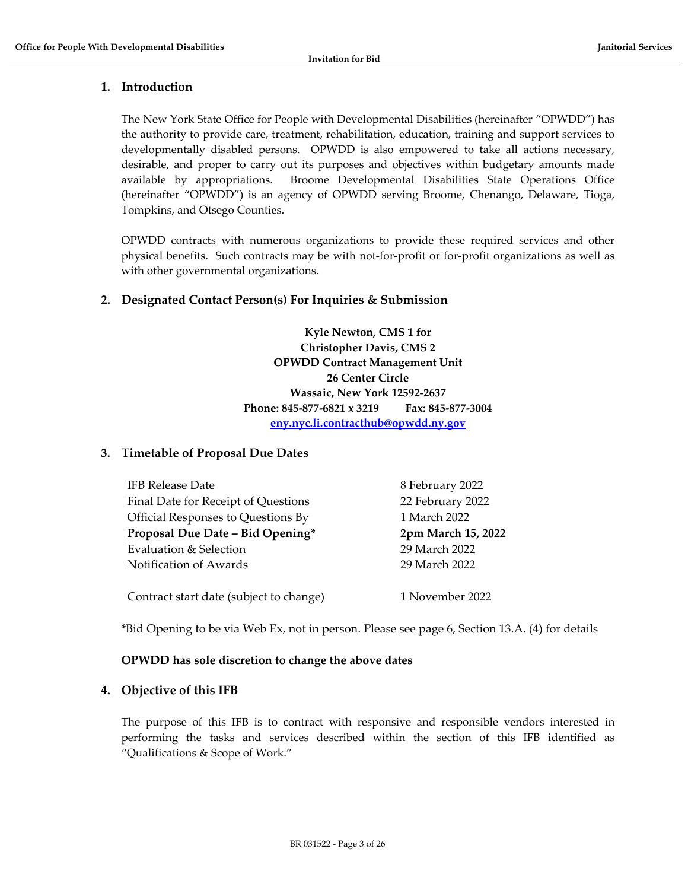# <span id="page-2-0"></span>**1. Introduction**

The New York State Office for People with Developmental Disabilities (hereinafter "OPWDD") has the authority to provide care, treatment, rehabilitation, education, training and support services to developmentally disabled persons. OPWDD is also empowered to take all actions necessary, desirable, and proper to carry out its purposes and objectives within budgetary amounts made available by appropriations. Broome Developmental Disabilities State Operations Office (hereinafter "OPWDD") is an agency of OPWDD serving Broome, Chenango, Delaware, Tioga, Tompkins, and Otsego Counties.

OPWDD contracts with numerous organizations to provide these required services and other physical benefits. Such contracts may be with not-for-profit or for-profit organizations as well as with other governmental organizations.

# <span id="page-2-1"></span>**2. Designated Contact Person(s) For Inquiries & Submission**

**Kyle Newton, CMS 1 for Christopher Davis, CMS 2 OPWDD Contract Management Unit 26 Center Circle Wassaic, New York 12592-2637 Phone: 845-877-6821 x 3219 Fax: 845-877-3004 [eny.nyc.li.contracthub@opwdd.ny.gov](mailto:eny.nyc.li.contracthub@opwdd.ny.gov)**

# <span id="page-2-2"></span>**3. Timetable of Proposal Due Dates**

| <b>IFB Release Date</b>                 | 8 February 2022    |
|-----------------------------------------|--------------------|
| Final Date for Receipt of Questions     | 22 February 2022   |
| Official Responses to Questions By      | 1 March 2022       |
| Proposal Due Date - Bid Opening*        | 2pm March 15, 2022 |
| Evaluation & Selection                  | 29 March 2022      |
| Notification of Awards                  | 29 March 2022      |
| Contract start date (subject to change) | 1 November 2022    |

\*Bid Opening to be via Web Ex, not in person. Please see page 6, Section 13.A. (4) for details

#### **OPWDD has sole discretion to change the above dates**

# <span id="page-2-3"></span>**4. Objective of this IFB**

The purpose of this IFB is to contract with responsive and responsible vendors interested in performing the tasks and services described within the section of this IFB identified as "Qualifications & Scope of Work."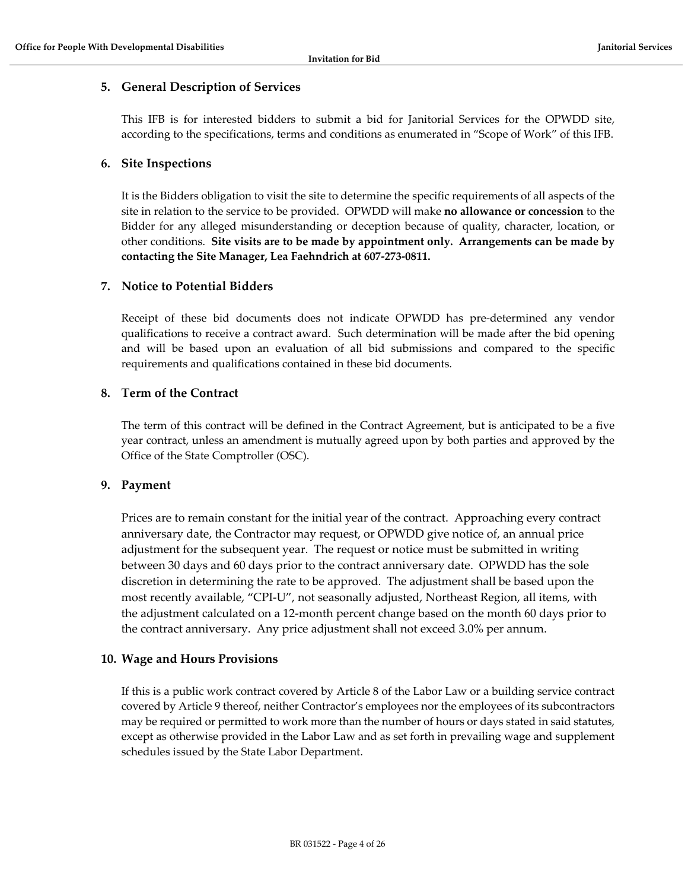# <span id="page-3-0"></span>**5. General Description of Services**

This IFB is for interested bidders to submit a bid for Janitorial Services for the OPWDD site, according to the specifications, terms and conditions as enumerated in "Scope of Work" of this IFB.

# <span id="page-3-1"></span>**6. Site Inspections**

It is the Bidders obligation to visit the site to determine the specific requirements of all aspects of the site in relation to the service to be provided. OPWDD will make **no allowance or concession** to the Bidder for any alleged misunderstanding or deception because of quality, character, location, or other conditions. **Site visits are to be made by appointment only. Arrangements can be made by contacting the Site Manager, Lea Faehndrich at 607-273-0811.**

# <span id="page-3-2"></span>**7. Notice to Potential Bidders**

Receipt of these bid documents does not indicate OPWDD has pre-determined any vendor qualifications to receive a contract award. Such determination will be made after the bid opening and will be based upon an evaluation of all bid submissions and compared to the specific requirements and qualifications contained in these bid documents.

# <span id="page-3-3"></span>**8. Term of the Contract**

The term of this contract will be defined in the Contract Agreement, but is anticipated to be a five year contract, unless an amendment is mutually agreed upon by both parties and approved by the Office of the State Comptroller (OSC).

# <span id="page-3-4"></span>**9. Payment**

Prices are to remain constant for the initial year of the contract. Approaching every contract anniversary date, the Contractor may request, or OPWDD give notice of, an annual price adjustment for the subsequent year. The request or notice must be submitted in writing between 30 days and 60 days prior to the contract anniversary date. OPWDD has the sole discretion in determining the rate to be approved. The adjustment shall be based upon the most recently available, "CPI-U", not seasonally adjusted, Northeast Region, all items, with the adjustment calculated on a 12-month percent change based on the month 60 days prior to the contract anniversary. Any price adjustment shall not exceed 3.0% per annum.

# <span id="page-3-5"></span>**10. Wage and Hours Provisions**

If this is a public work contract covered by Article 8 of the Labor Law or a building service contract covered by Article 9 thereof, neither Contractor's employees nor the employees of its subcontractors may be required or permitted to work more than the number of hours or days stated in said statutes, except as otherwise provided in the Labor Law and as set forth in prevailing wage and supplement schedules issued by the State Labor Department.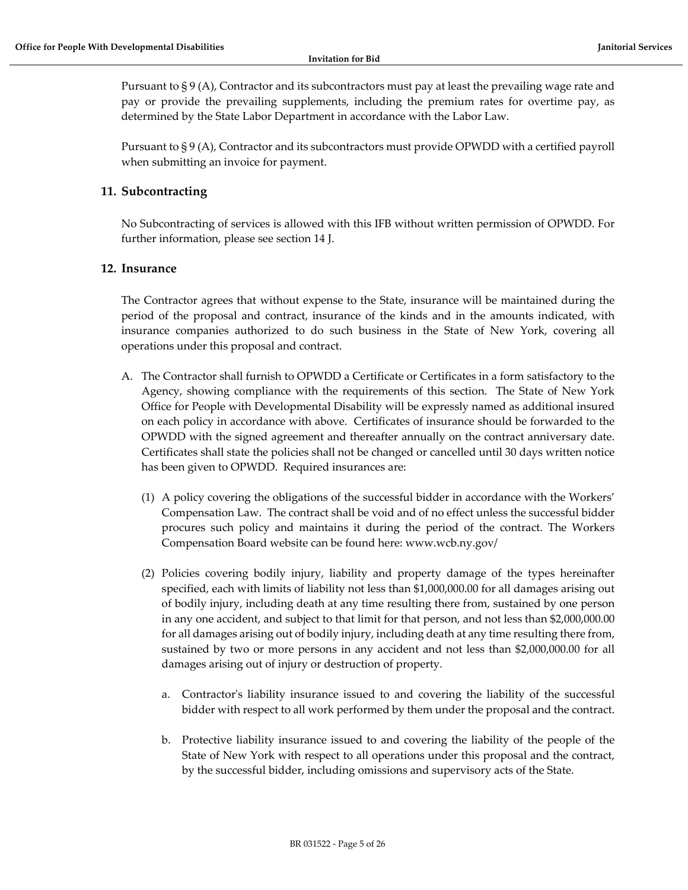Pursuant to § 9 (A), Contractor and its subcontractors must pay at least the prevailing wage rate and pay or provide the prevailing supplements, including the premium rates for overtime pay, as determined by the State Labor Department in accordance with the Labor Law.

Pursuant to § 9 (A), Contractor and its subcontractors must provide OPWDD with a certified payroll when submitting an invoice for payment.

# <span id="page-4-0"></span>**11. Subcontracting**

No Subcontracting of services is allowed with this IFB without written permission of OPWDD. For further information, please see section 14 J.

## <span id="page-4-1"></span>**12. Insurance**

The Contractor agrees that without expense to the State, insurance will be maintained during the period of the proposal and contract, insurance of the kinds and in the amounts indicated, with insurance companies authorized to do such business in the State of New York, covering all operations under this proposal and contract.

- A. The Contractor shall furnish to OPWDD a Certificate or Certificates in a form satisfactory to the Agency, showing compliance with the requirements of this section. The State of New York Office for People with Developmental Disability will be expressly named as additional insured on each policy in accordance with above. Certificates of insurance should be forwarded to the OPWDD with the signed agreement and thereafter annually on the contract anniversary date. Certificates shall state the policies shall not be changed or cancelled until 30 days written notice has been given to OPWDD. Required insurances are:
	- (1) A policy covering the obligations of the successful bidder in accordance with the Workers' Compensation Law. The contract shall be void and of no effect unless the successful bidder procures such policy and maintains it during the period of the contract. The Workers Compensation Board website can be found here: www.wcb.ny.gov/
	- (2) Policies covering bodily injury, liability and property damage of the types hereinafter specified, each with limits of liability not less than \$1,000,000.00 for all damages arising out of bodily injury, including death at any time resulting there from, sustained by one person in any one accident, and subject to that limit for that person, and not less than \$2,000,000.00 for all damages arising out of bodily injury, including death at any time resulting there from, sustained by two or more persons in any accident and not less than \$2,000,000.00 for all damages arising out of injury or destruction of property.
		- a. Contractor's liability insurance issued to and covering the liability of the successful bidder with respect to all work performed by them under the proposal and the contract.
		- b. Protective liability insurance issued to and covering the liability of the people of the State of New York with respect to all operations under this proposal and the contract, by the successful bidder, including omissions and supervisory acts of the State.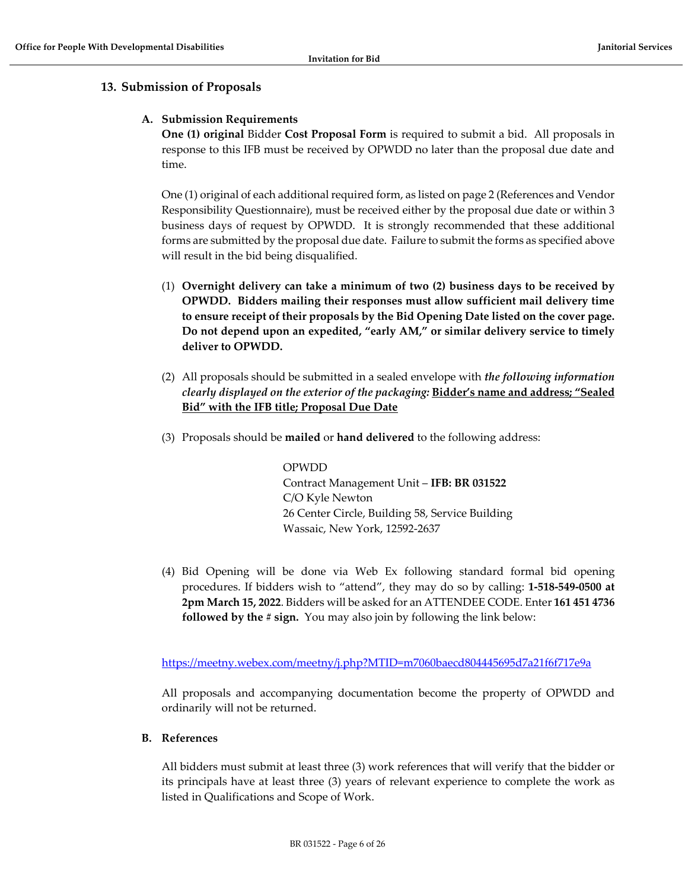# <span id="page-5-1"></span><span id="page-5-0"></span>**13. Submission of Proposals**

#### **A. Submission Requirements**

**One (1) original** Bidder **Cost Proposal Form** is required to submit a bid. All proposals in response to this IFB must be received by OPWDD no later than the proposal due date and time.

One (1) original of each additional required form, as listed on page 2 (References and Vendor Responsibility Questionnaire), must be received either by the proposal due date or within 3 business days of request by OPWDD. It is strongly recommended that these additional forms are submitted by the proposal due date. Failure to submit the forms as specified above will result in the bid being disqualified.

- (1) **Overnight delivery can take a minimum of two (2) business days to be received by OPWDD. Bidders mailing their responses must allow sufficient mail delivery time to ensure receipt of their proposals by the Bid Opening Date listed on the cover page. Do not depend upon an expedited, "early AM," or similar delivery service to timely deliver to OPWDD.**
- (2) All proposals should be submitted in a sealed envelope with *the following information clearly displayed on the exterior of the packaging:* **Bidder's name and address; "Sealed Bid" with the IFB title; Proposal Due Date**
- (3) Proposals should be **mailed** or **hand delivered** to the following address:

OPWDD Contract Management Unit – **IFB: BR 031522** C/O Kyle Newton 26 Center Circle, Building 58, Service Building Wassaic, New York, 12592-2637

(4) Bid Opening will be done via Web Ex following standard formal bid opening procedures. If bidders wish to "attend", they may do so by calling: **1-518-549-0500 at 2pm March 15, 2022**. Bidders will be asked for an ATTENDEE CODE. Enter **161 451 4736 followed by the # sign.** You may also join by following the link below:

<https://meetny.webex.com/meetny/j.php?MTID=m7060baecd804445695d7a21f6f717e9a>

All proposals and accompanying documentation become the property of OPWDD and ordinarily will not be returned.

#### <span id="page-5-2"></span>**B. References**

All bidders must submit at least three (3) work references that will verify that the bidder or its principals have at least three (3) years of relevant experience to complete the work as listed in Qualifications and Scope of Work.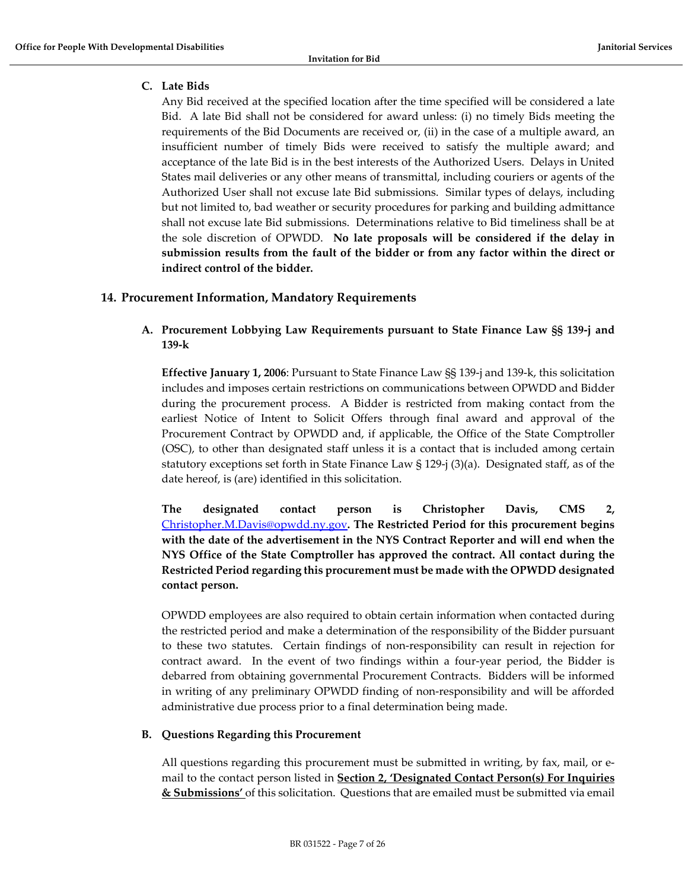# <span id="page-6-0"></span>**C. Late Bids**

Any Bid received at the specified location after the time specified will be considered a late Bid. A late Bid shall not be considered for award unless: (i) no timely Bids meeting the requirements of the Bid Documents are received or, (ii) in the case of a multiple award, an insufficient number of timely Bids were received to satisfy the multiple award; and acceptance of the late Bid is in the best interests of the Authorized Users. Delays in United States mail deliveries or any other means of transmittal, including couriers or agents of the Authorized User shall not excuse late Bid submissions. Similar types of delays, including but not limited to, bad weather or security procedures for parking and building admittance shall not excuse late Bid submissions. Determinations relative to Bid timeliness shall be at the sole discretion of OPWDD. **No late proposals will be considered if the delay in submission results from the fault of the bidder or from any factor within the direct or indirect control of the bidder.**

# <span id="page-6-2"></span><span id="page-6-1"></span>**14. Procurement Information, Mandatory Requirements**

# **A. Procurement Lobbying Law Requirements pursuant to State Finance Law §§ 139-j and 139-k**

**Effective January 1, 2006**: Pursuant to State Finance Law §§ 139-j and 139-k, this solicitation includes and imposes certain restrictions on communications between OPWDD and Bidder during the procurement process. A Bidder is restricted from making contact from the earliest Notice of Intent to Solicit Offers through final award and approval of the Procurement Contract by OPWDD and, if applicable, the Office of the State Comptroller (OSC), to other than designated staff unless it is a contact that is included among certain statutory exceptions set forth in State Finance Law § 129-j (3)(a). Designated staff, as of the date hereof, is (are) identified in this solicitation.

**The designated contact person is Christopher Davis, CMS 2[,](mailto:%20Christopher.M.Davis@opwdd.ny.gov)** [Christopher.M.Davis@opwdd.ny.gov](mailto:%20Christopher.M.Davis@opwdd.ny.gov)**. The Restricted Period for this procurement begins with the date of the advertisement in the NYS Contract Reporter and will end when the NYS Office of the State Comptroller has approved the contract. All contact during the Restricted Period regarding this procurement must be made with the OPWDD designated contact person.** 

OPWDD employees are also required to obtain certain information when contacted during the restricted period and make a determination of the responsibility of the Bidder pursuant to these two statutes. Certain findings of non-responsibility can result in rejection for contract award. In the event of two findings within a four-year period, the Bidder is debarred from obtaining governmental Procurement Contracts. Bidders will be informed in writing of any preliminary OPWDD finding of non-responsibility and will be afforded administrative due process prior to a final determination being made.

#### <span id="page-6-3"></span>**B. Questions Regarding this Procurement**

All questions regarding this procurement must be submitted in writing, by fax, mail, or email to the contact person listed in **Section 2, 'Designated Contact Person(s) For Inquiries & Submissions'** of this solicitation. Questions that are emailed must be submitted via email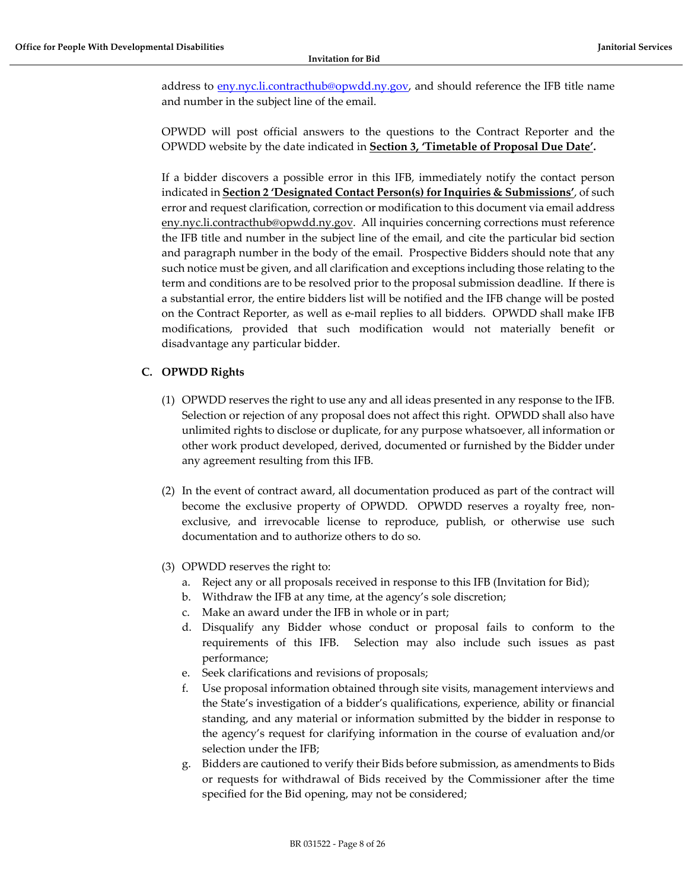address to [eny.nyc.li.contracthub@opwdd.ny.gov,](mailto:eny.nyc.li.contracthub@opwdd.ny.gov) and should reference the IFB title name and number in the subject line of the email.

OPWDD will post official answers to the questions to the Contract Reporter and the OPWDD website by the date indicated in **Section 3, 'Timetable of Proposal Due Date'.**

If a bidder discovers a possible error in this IFB, immediately notify the contact person indicated in **Section 2 'Designated Contact Person(s) for Inquiries & Submissions'**, of such error and request clarification, correction or modification to this document via email address eny.nyc.li.contracthub@opwdd.ny.gov. All inquiries concerning corrections must reference the IFB title and number in the subject line of the email, and cite the particular bid section and paragraph number in the body of the email. Prospective Bidders should note that any such notice must be given, and all clarification and exceptions including those relating to the term and conditions are to be resolved prior to the proposal submission deadline. If there is a substantial error, the entire bidders list will be notified and the IFB change will be posted on the Contract Reporter, as well as e-mail replies to all bidders. OPWDD shall make IFB modifications, provided that such modification would not materially benefit or disadvantage any particular bidder.

# <span id="page-7-0"></span>**C. OPWDD Rights**

- (1) OPWDD reserves the right to use any and all ideas presented in any response to the IFB. Selection or rejection of any proposal does not affect this right. OPWDD shall also have unlimited rights to disclose or duplicate, for any purpose whatsoever, all information or other work product developed, derived, documented or furnished by the Bidder under any agreement resulting from this IFB.
- (2) In the event of contract award, all documentation produced as part of the contract will become the exclusive property of OPWDD. OPWDD reserves a royalty free, nonexclusive, and irrevocable license to reproduce, publish, or otherwise use such documentation and to authorize others to do so.
- (3) OPWDD reserves the right to:
	- a. Reject any or all proposals received in response to this IFB (Invitation for Bid);
	- b. Withdraw the IFB at any time, at the agency's sole discretion;
	- c. Make an award under the IFB in whole or in part;
	- d. Disqualify any Bidder whose conduct or proposal fails to conform to the requirements of this IFB. Selection may also include such issues as past performance;
	- e. Seek clarifications and revisions of proposals;
	- f. Use proposal information obtained through site visits, management interviews and the State's investigation of a bidder's qualifications, experience, ability or financial standing, and any material or information submitted by the bidder in response to the agency's request for clarifying information in the course of evaluation and/or selection under the IFB;
	- g. Bidders are cautioned to verify their Bids before submission, as amendments to Bids or requests for withdrawal of Bids received by the Commissioner after the time specified for the Bid opening, may not be considered;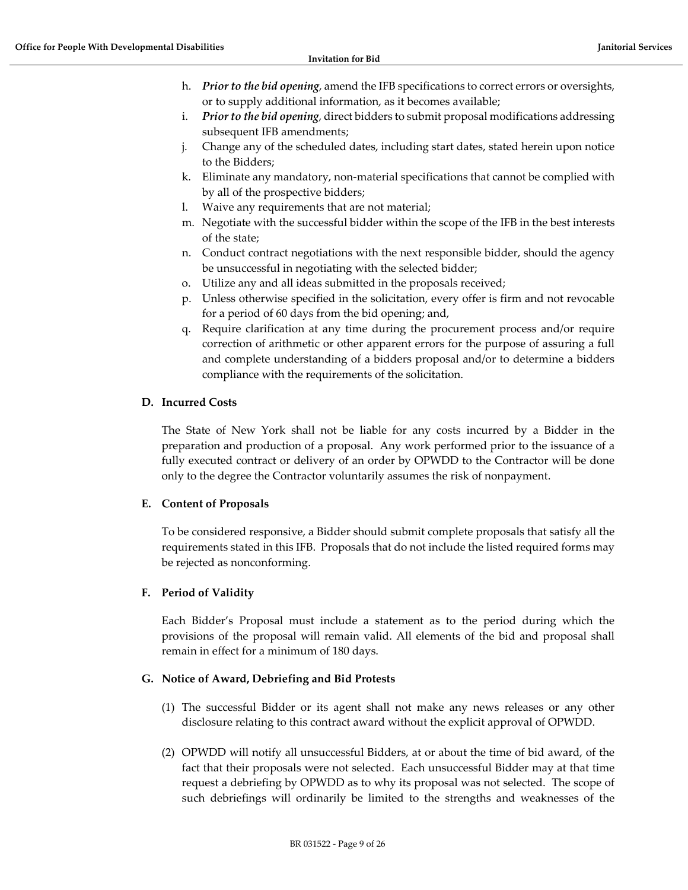- h. *Prior to the bid opening*, amend the IFB specifications to correct errors or oversights, or to supply additional information, as it becomes available;
- i. *Prior to the bid opening*, direct bidders to submit proposal modifications addressing subsequent IFB amendments;
- j. Change any of the scheduled dates, including start dates, stated herein upon notice to the Bidders;
- k. Eliminate any mandatory, non-material specifications that cannot be complied with by all of the prospective bidders;
- l. Waive any requirements that are not material;
- m. Negotiate with the successful bidder within the scope of the IFB in the best interests of the state;
- n. Conduct contract negotiations with the next responsible bidder, should the agency be unsuccessful in negotiating with the selected bidder;
- o. Utilize any and all ideas submitted in the proposals received;
- p. Unless otherwise specified in the solicitation, every offer is firm and not revocable for a period of 60 days from the bid opening; and,
- q. Require clarification at any time during the procurement process and/or require correction of arithmetic or other apparent errors for the purpose of assuring a full and complete understanding of a bidders proposal and/or to determine a bidders compliance with the requirements of the solicitation.

## <span id="page-8-0"></span>**D. Incurred Costs**

The State of New York shall not be liable for any costs incurred by a Bidder in the preparation and production of a proposal. Any work performed prior to the issuance of a fully executed contract or delivery of an order by OPWDD to the Contractor will be done only to the degree the Contractor voluntarily assumes the risk of nonpayment.

#### <span id="page-8-1"></span>**E. Content of Proposals**

To be considered responsive, a Bidder should submit complete proposals that satisfy all the requirements stated in this IFB. Proposals that do not include the listed required forms may be rejected as nonconforming.

# <span id="page-8-2"></span>**F. Period of Validity**

Each Bidder's Proposal must include a statement as to the period during which the provisions of the proposal will remain valid. All elements of the bid and proposal shall remain in effect for a minimum of 180 days.

#### <span id="page-8-3"></span>**G. Notice of Award, Debriefing and Bid Protests**

- (1) The successful Bidder or its agent shall not make any news releases or any other disclosure relating to this contract award without the explicit approval of OPWDD.
- (2) OPWDD will notify all unsuccessful Bidders, at or about the time of bid award, of the fact that their proposals were not selected. Each unsuccessful Bidder may at that time request a debriefing by OPWDD as to why its proposal was not selected. The scope of such debriefings will ordinarily be limited to the strengths and weaknesses of the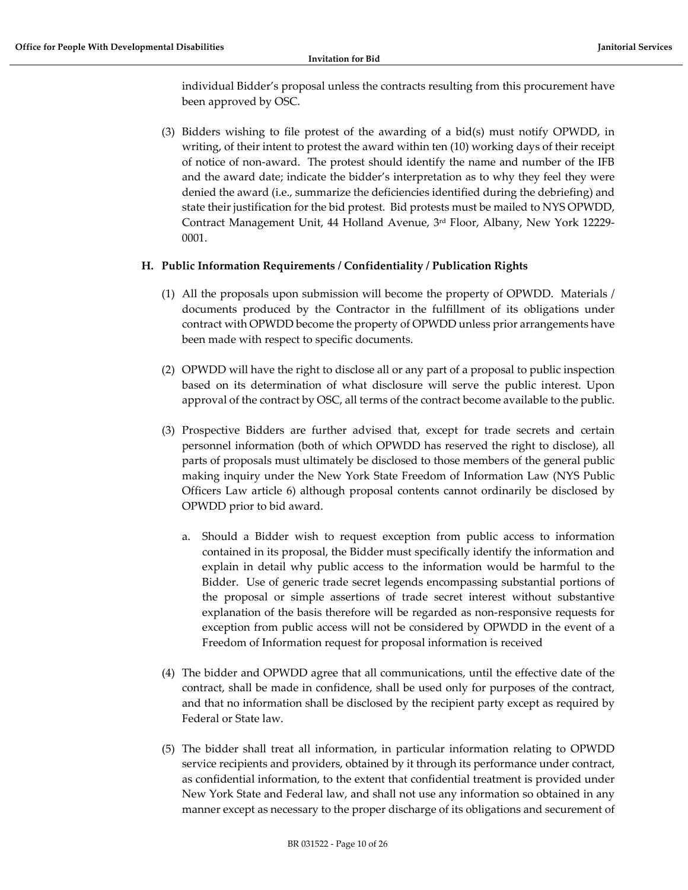individual Bidder's proposal unless the contracts resulting from this procurement have been approved by OSC.

(3) Bidders wishing to file protest of the awarding of a bid(s) must notify OPWDD, in writing, of their intent to protest the award within ten (10) working days of their receipt of notice of non-award. The protest should identify the name and number of the IFB and the award date; indicate the bidder's interpretation as to why they feel they were denied the award (i.e., summarize the deficiencies identified during the debriefing) and state their justification for the bid protest. Bid protests must be mailed to NYS OPWDD, Contract Management Unit, 44 Holland Avenue, 3rd Floor, Albany, New York 12229- 0001.

## <span id="page-9-0"></span>**H. Public Information Requirements / Confidentiality / Publication Rights**

- (1) All the proposals upon submission will become the property of OPWDD. Materials / documents produced by the Contractor in the fulfillment of its obligations under contract with OPWDD become the property of OPWDD unless prior arrangements have been made with respect to specific documents.
- (2) OPWDD will have the right to disclose all or any part of a proposal to public inspection based on its determination of what disclosure will serve the public interest. Upon approval of the contract by OSC, all terms of the contract become available to the public.
- (3) Prospective Bidders are further advised that, except for trade secrets and certain personnel information (both of which OPWDD has reserved the right to disclose), all parts of proposals must ultimately be disclosed to those members of the general public making inquiry under the New York State Freedom of Information Law (NYS Public Officers Law article 6) although proposal contents cannot ordinarily be disclosed by OPWDD prior to bid award.
	- a. Should a Bidder wish to request exception from public access to information contained in its proposal, the Bidder must specifically identify the information and explain in detail why public access to the information would be harmful to the Bidder. Use of generic trade secret legends encompassing substantial portions of the proposal or simple assertions of trade secret interest without substantive explanation of the basis therefore will be regarded as non-responsive requests for exception from public access will not be considered by OPWDD in the event of a Freedom of Information request for proposal information is received
- (4) The bidder and OPWDD agree that all communications, until the effective date of the contract, shall be made in confidence, shall be used only for purposes of the contract, and that no information shall be disclosed by the recipient party except as required by Federal or State law.
- (5) The bidder shall treat all information, in particular information relating to OPWDD service recipients and providers, obtained by it through its performance under contract, as confidential information, to the extent that confidential treatment is provided under New York State and Federal law, and shall not use any information so obtained in any manner except as necessary to the proper discharge of its obligations and securement of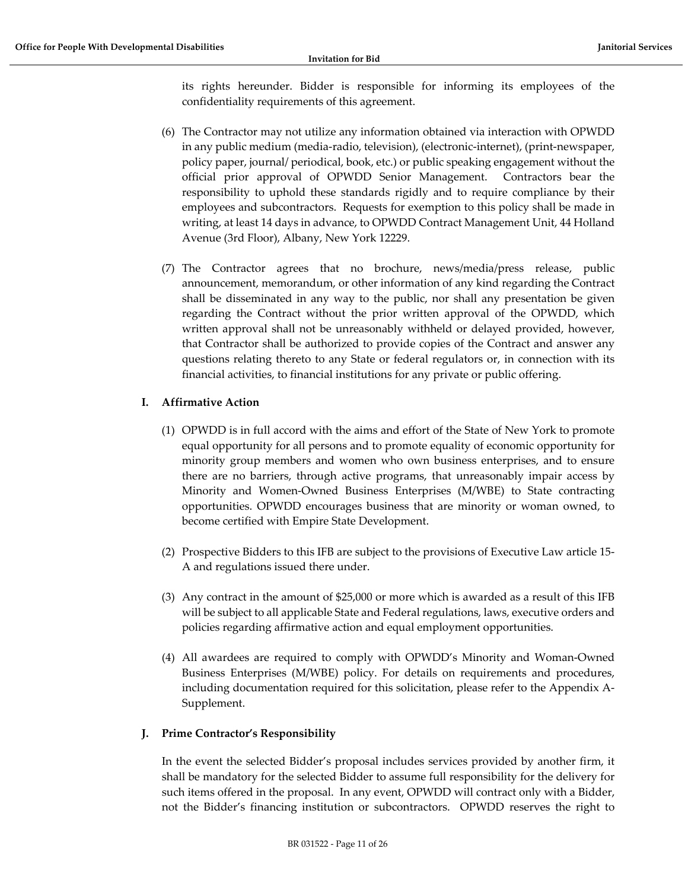its rights hereunder. Bidder is responsible for informing its employees of the confidentiality requirements of this agreement.

- (6) The Contractor may not utilize any information obtained via interaction with OPWDD in any public medium (media-radio, television), (electronic-internet), (print-newspaper, policy paper, journal/ periodical, book, etc.) or public speaking engagement without the official prior approval of OPWDD Senior Management. Contractors bear the responsibility to uphold these standards rigidly and to require compliance by their employees and subcontractors. Requests for exemption to this policy shall be made in writing, at least 14 days in advance, to OPWDD Contract Management Unit, 44 Holland Avenue (3rd Floor), Albany, New York 12229.
- (7) The Contractor agrees that no brochure, news/media/press release, public announcement, memorandum, or other information of any kind regarding the Contract shall be disseminated in any way to the public, nor shall any presentation be given regarding the Contract without the prior written approval of the OPWDD, which written approval shall not be unreasonably withheld or delayed provided, however, that Contractor shall be authorized to provide copies of the Contract and answer any questions relating thereto to any State or federal regulators or, in connection with its financial activities, to financial institutions for any private or public offering.

# <span id="page-10-0"></span>**I. Affirmative Action**

- (1) OPWDD is in full accord with the aims and effort of the State of New York to promote equal opportunity for all persons and to promote equality of economic opportunity for minority group members and women who own business enterprises, and to ensure there are no barriers, through active programs, that unreasonably impair access by Minority and Women-Owned Business Enterprises (M/WBE) to State contracting opportunities. OPWDD encourages business that are minority or woman owned, to become certified with Empire State Development.
- (2) Prospective Bidders to this IFB are subject to the provisions of Executive Law article 15- A and regulations issued there under.
- (3) Any contract in the amount of \$25,000 or more which is awarded as a result of this IFB will be subject to all applicable State and Federal regulations, laws, executive orders and policies regarding affirmative action and equal employment opportunities.
- (4) All awardees are required to comply with OPWDD's Minority and Woman-Owned Business Enterprises (M/WBE) policy. For details on requirements and procedures, including documentation required for this solicitation, please refer to the Appendix A-Supplement.

#### <span id="page-10-1"></span>**J. Prime Contractor's Responsibility**

In the event the selected Bidder's proposal includes services provided by another firm, it shall be mandatory for the selected Bidder to assume full responsibility for the delivery for such items offered in the proposal. In any event, OPWDD will contract only with a Bidder, not the Bidder's financing institution or subcontractors. OPWDD reserves the right to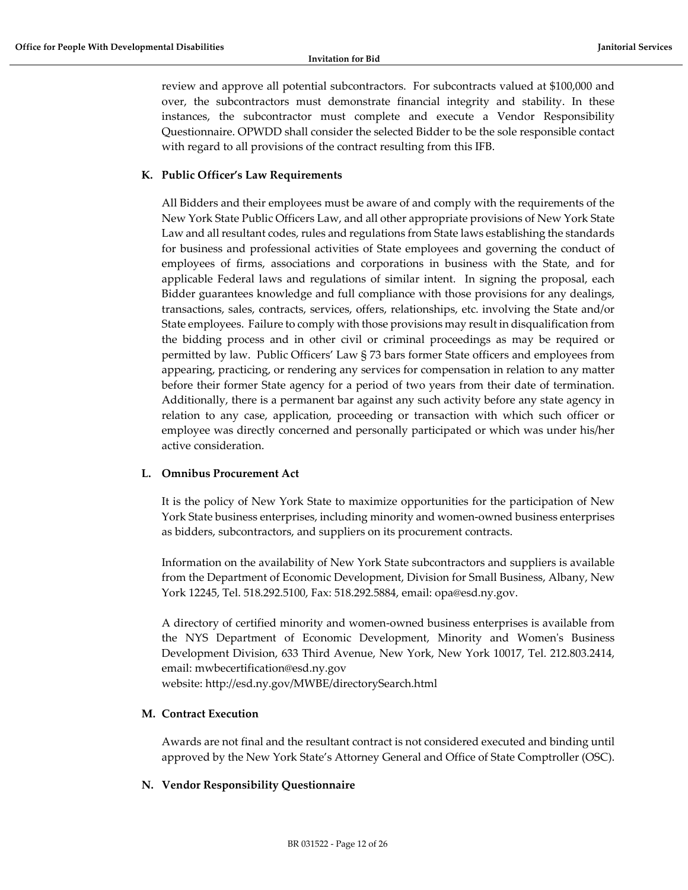review and approve all potential subcontractors. For subcontracts valued at \$100,000 and over, the subcontractors must demonstrate financial integrity and stability. In these instances, the subcontractor must complete and execute a Vendor Responsibility Questionnaire. OPWDD shall consider the selected Bidder to be the sole responsible contact with regard to all provisions of the contract resulting from this IFB.

## <span id="page-11-0"></span>**K. Public Officer's Law Requirements**

All Bidders and their employees must be aware of and comply with the requirements of the New York State Public Officers Law, and all other appropriate provisions of New York State Law and all resultant codes, rules and regulations from State laws establishing the standards for business and professional activities of State employees and governing the conduct of employees of firms, associations and corporations in business with the State, and for applicable Federal laws and regulations of similar intent. In signing the proposal, each Bidder guarantees knowledge and full compliance with those provisions for any dealings, transactions, sales, contracts, services, offers, relationships, etc. involving the State and/or State employees. Failure to comply with those provisions may result in disqualification from the bidding process and in other civil or criminal proceedings as may be required or permitted by law. Public Officers' Law § 73 bars former State officers and employees from appearing, practicing, or rendering any services for compensation in relation to any matter before their former State agency for a period of two years from their date of termination. Additionally, there is a permanent bar against any such activity before any state agency in relation to any case, application, proceeding or transaction with which such officer or employee was directly concerned and personally participated or which was under his/her active consideration.

#### <span id="page-11-1"></span>**L. Omnibus Procurement Act**

It is the policy of New York State to maximize opportunities for the participation of New York State business enterprises, including minority and women-owned business enterprises as bidders, subcontractors, and suppliers on its procurement contracts.

Information on the availability of New York State subcontractors and suppliers is available from the Department of Economic Development, Division for Small Business, Albany, New York 12245, Tel. 518.292.5100, Fax: 518.292.5884, email: opa@esd.ny.gov.

A directory of certified minority and women-owned business enterprises is available from the NYS Department of Economic Development, Minority and Women's Business Development Division, 633 Third Avenue, New York, New York 10017, Tel. 212.803.2414, email: mwbecertification@esd.ny.gov

website: http://esd.ny.gov/MWBE/directorySearch.html

#### <span id="page-11-2"></span>**M. Contract Execution**

Awards are not final and the resultant contract is not considered executed and binding until approved by the New York State's Attorney General and Office of State Comptroller (OSC).

#### <span id="page-11-3"></span>**N. Vendor Responsibility Questionnaire**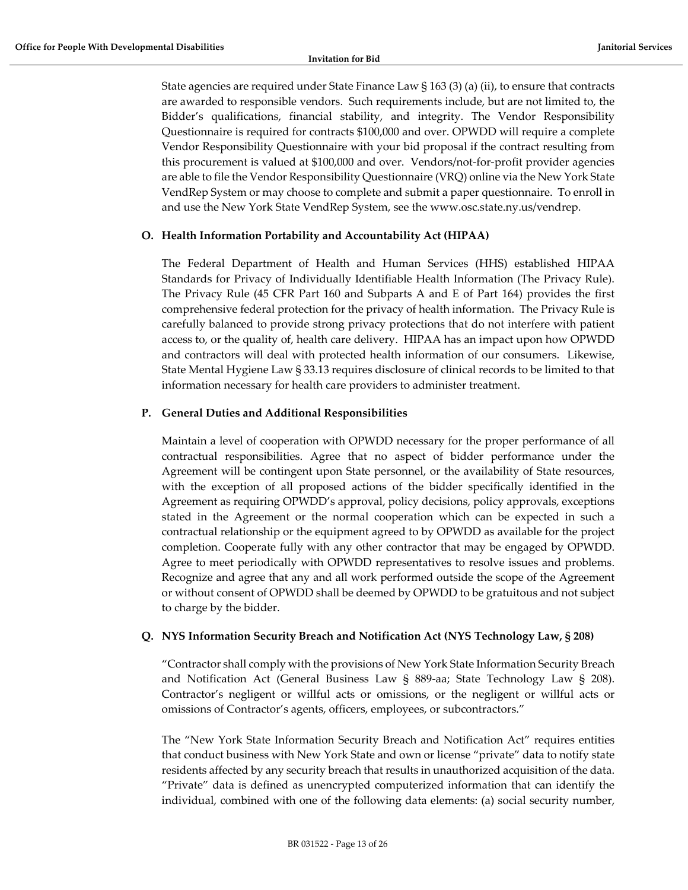State agencies are required under State Finance Law § 163 (3) (a) (ii), to ensure that contracts are awarded to responsible vendors. Such requirements include, but are not limited to, the Bidder's qualifications, financial stability, and integrity. The Vendor Responsibility Questionnaire is required for contracts \$100,000 and over. OPWDD will require a complete Vendor Responsibility Questionnaire with your bid proposal if the contract resulting from this procurement is valued at \$100,000 and over. Vendors/not-for-profit provider agencies are able to file the Vendor Responsibility Questionnaire (VRQ) online via the New York State VendRep System or may choose to complete and submit a paper questionnaire. To enroll in and use the New York State VendRep System, see the www.osc.state.ny.us/vendrep.

## <span id="page-12-0"></span>**O. Health Information Portability and Accountability Act (HIPAA)**

The Federal Department of Health and Human Services (HHS) established HIPAA Standards for Privacy of Individually Identifiable Health Information (The Privacy Rule). The Privacy Rule (45 CFR Part 160 and Subparts A and E of Part 164) provides the first comprehensive federal protection for the privacy of health information. The Privacy Rule is carefully balanced to provide strong privacy protections that do not interfere with patient access to, or the quality of, health care delivery. HIPAA has an impact upon how OPWDD and contractors will deal with protected health information of our consumers. Likewise, State Mental Hygiene Law § 33.13 requires disclosure of clinical records to be limited to that information necessary for health care providers to administer treatment.

#### <span id="page-12-1"></span>**P. General Duties and Additional Responsibilities**

Maintain a level of cooperation with OPWDD necessary for the proper performance of all contractual responsibilities. Agree that no aspect of bidder performance under the Agreement will be contingent upon State personnel, or the availability of State resources, with the exception of all proposed actions of the bidder specifically identified in the Agreement as requiring OPWDD's approval, policy decisions, policy approvals, exceptions stated in the Agreement or the normal cooperation which can be expected in such a contractual relationship or the equipment agreed to by OPWDD as available for the project completion. Cooperate fully with any other contractor that may be engaged by OPWDD. Agree to meet periodically with OPWDD representatives to resolve issues and problems. Recognize and agree that any and all work performed outside the scope of the Agreement or without consent of OPWDD shall be deemed by OPWDD to be gratuitous and not subject to charge by the bidder.

#### <span id="page-12-2"></span>**Q. NYS Information Security Breach and Notification Act (NYS Technology Law, § 208)**

"Contractor shall comply with the provisions of New York State Information Security Breach and Notification Act (General Business Law § 889-aa; State Technology Law § 208). Contractor's negligent or willful acts or omissions, or the negligent or willful acts or omissions of Contractor's agents, officers, employees, or subcontractors."

The "New York State Information Security Breach and Notification Act" requires entities that conduct business with New York State and own or license "private" data to notify state residents affected by any security breach that results in unauthorized acquisition of the data. "Private" data is defined as unencrypted computerized information that can identify the individual, combined with one of the following data elements: (a) social security number,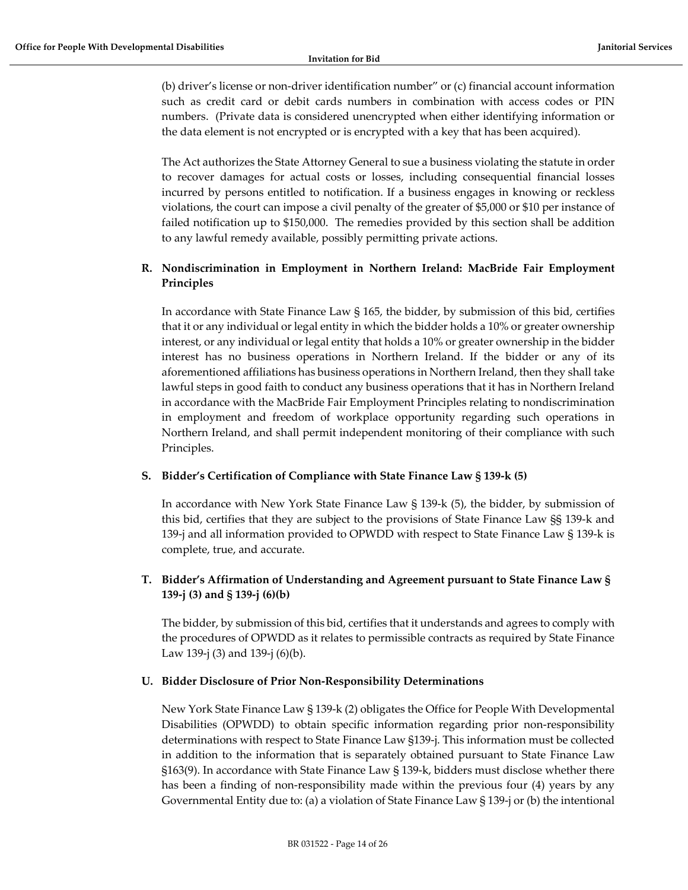(b) driver's license or non-driver identification number" or (c) financial account information such as credit card or debit cards numbers in combination with access codes or PIN numbers. (Private data is considered unencrypted when either identifying information or the data element is not encrypted or is encrypted with a key that has been acquired).

The Act authorizes the State Attorney General to sue a business violating the statute in order to recover damages for actual costs or losses, including consequential financial losses incurred by persons entitled to notification. If a business engages in knowing or reckless violations, the court can impose a civil penalty of the greater of \$5,000 or \$10 per instance of failed notification up to \$150,000. The remedies provided by this section shall be addition to any lawful remedy available, possibly permitting private actions.

# <span id="page-13-0"></span>**R. Nondiscrimination in Employment in Northern Ireland: MacBride Fair Employment Principles**

In accordance with State Finance Law § 165, the bidder, by submission of this bid, certifies that it or any individual or legal entity in which the bidder holds a 10% or greater ownership interest, or any individual or legal entity that holds a 10% or greater ownership in the bidder interest has no business operations in Northern Ireland. If the bidder or any of its aforementioned affiliations has business operations in Northern Ireland, then they shall take lawful steps in good faith to conduct any business operations that it has in Northern Ireland in accordance with the MacBride Fair Employment Principles relating to nondiscrimination in employment and freedom of workplace opportunity regarding such operations in Northern Ireland, and shall permit independent monitoring of their compliance with such Principles.

# <span id="page-13-1"></span>**S. Bidder's Certification of Compliance with State Finance Law § 139-k (5)**

In accordance with New York State Finance Law § 139-k (5), the bidder, by submission of this bid, certifies that they are subject to the provisions of State Finance Law §§ 139-k and 139-j and all information provided to OPWDD with respect to State Finance Law § 139-k is complete, true, and accurate.

# <span id="page-13-2"></span>**T. Bidder's Affirmation of Understanding and Agreement pursuant to State Finance Law § 139-j (3) and § 139-j (6)(b)**

The bidder, by submission of this bid, certifies that it understands and agrees to comply with the procedures of OPWDD as it relates to permissible contracts as required by State Finance Law 139-j (3) and 139-j (6)(b).

# <span id="page-13-3"></span>**U. Bidder Disclosure of Prior Non-Responsibility Determinations**

New York State Finance Law § 139-k (2) obligates the Office for People With Developmental Disabilities (OPWDD) to obtain specific information regarding prior non-responsibility determinations with respect to State Finance Law §139-j. This information must be collected in addition to the information that is separately obtained pursuant to State Finance Law §163(9). In accordance with State Finance Law § 139-k, bidders must disclose whether there has been a finding of non-responsibility made within the previous four (4) years by any Governmental Entity due to: (a) a violation of State Finance Law § 139-j or (b) the intentional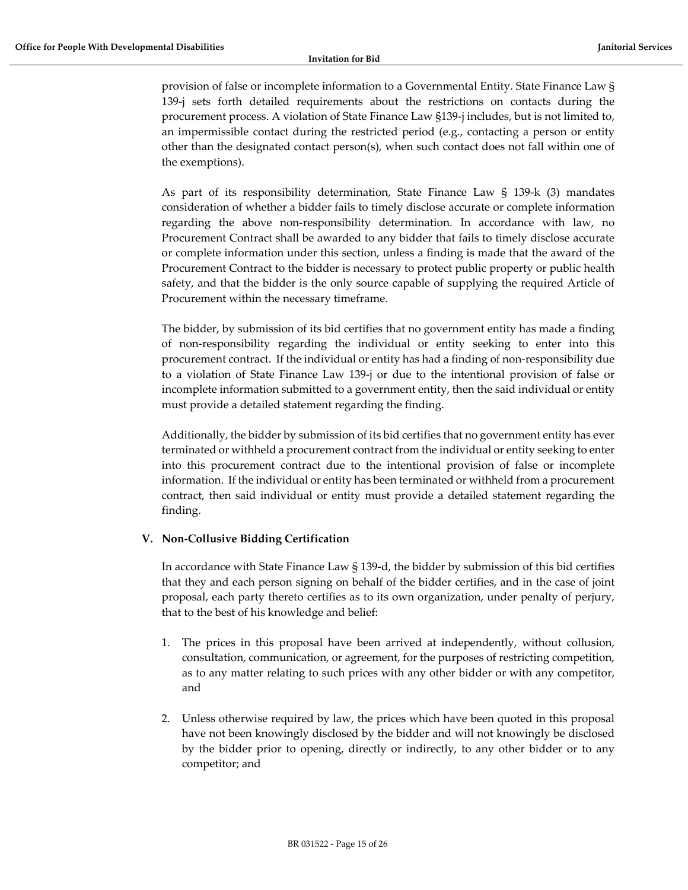provision of false or incomplete information to a Governmental Entity. State Finance Law § 139-j sets forth detailed requirements about the restrictions on contacts during the procurement process. A violation of State Finance Law §139-j includes, but is not limited to, an impermissible contact during the restricted period (e.g., contacting a person or entity other than the designated contact person(s), when such contact does not fall within one of the exemptions).

As part of its responsibility determination, State Finance Law § 139-k (3) mandates consideration of whether a bidder fails to timely disclose accurate or complete information regarding the above non-responsibility determination. In accordance with law, no Procurement Contract shall be awarded to any bidder that fails to timely disclose accurate or complete information under this section, unless a finding is made that the award of the Procurement Contract to the bidder is necessary to protect public property or public health safety, and that the bidder is the only source capable of supplying the required Article of Procurement within the necessary timeframe.

The bidder, by submission of its bid certifies that no government entity has made a finding of non-responsibility regarding the individual or entity seeking to enter into this procurement contract. If the individual or entity has had a finding of non-responsibility due to a violation of State Finance Law 139-j or due to the intentional provision of false or incomplete information submitted to a government entity, then the said individual or entity must provide a detailed statement regarding the finding.

Additionally, the bidder by submission of its bid certifies that no government entity has ever terminated or withheld a procurement contract from the individual or entity seeking to enter into this procurement contract due to the intentional provision of false or incomplete information. If the individual or entity has been terminated or withheld from a procurement contract, then said individual or entity must provide a detailed statement regarding the finding.

# <span id="page-14-0"></span>**V. Non-Collusive Bidding Certification**

In accordance with State Finance Law § 139-d, the bidder by submission of this bid certifies that they and each person signing on behalf of the bidder certifies, and in the case of joint proposal, each party thereto certifies as to its own organization, under penalty of perjury, that to the best of his knowledge and belief:

- 1. The prices in this proposal have been arrived at independently, without collusion, consultation, communication, or agreement, for the purposes of restricting competition, as to any matter relating to such prices with any other bidder or with any competitor, and
- 2. Unless otherwise required by law, the prices which have been quoted in this proposal have not been knowingly disclosed by the bidder and will not knowingly be disclosed by the bidder prior to opening, directly or indirectly, to any other bidder or to any competitor; and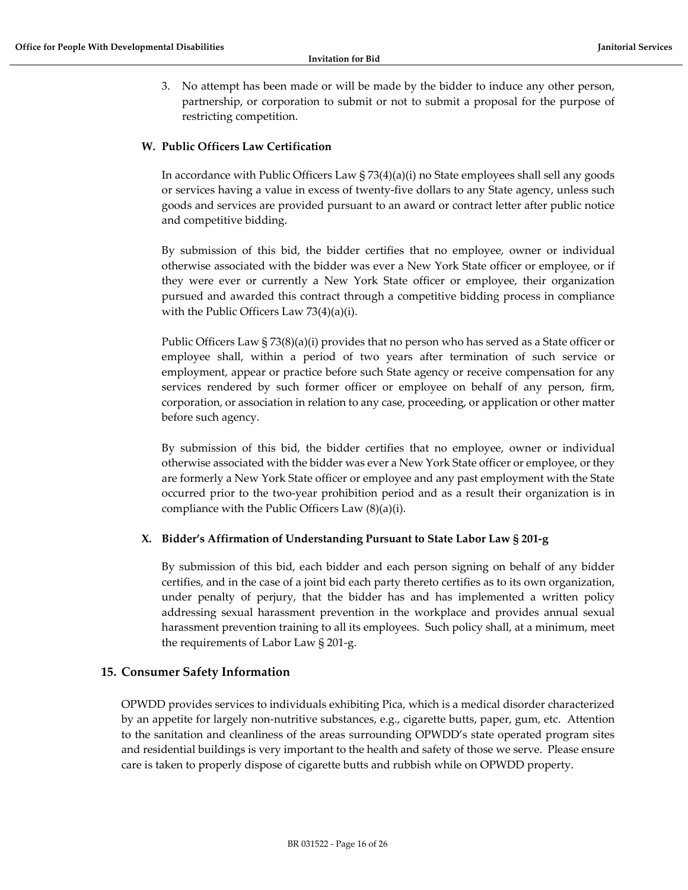3. No attempt has been made or will be made by the bidder to induce any other person, partnership, or corporation to submit or not to submit a proposal for the purpose of restricting competition.

## <span id="page-15-0"></span>**W. Public Officers Law Certification**

In accordance with Public Officers Law  $\S$  73(4)(a)(i) no State employees shall sell any goods or services having a value in excess of twenty-five dollars to any State agency, unless such goods and services are provided pursuant to an award or contract letter after public notice and competitive bidding.

By submission of this bid, the bidder certifies that no employee, owner or individual otherwise associated with the bidder was ever a New York State officer or employee, or if they were ever or currently a New York State officer or employee, their organization pursued and awarded this contract through a competitive bidding process in compliance with the Public Officers Law 73(4)(a)(i).

Public Officers Law § 73(8)(a)(i) provides that no person who has served as a State officer or employee shall, within a period of two years after termination of such service or employment, appear or practice before such State agency or receive compensation for any services rendered by such former officer or employee on behalf of any person, firm, corporation, or association in relation to any case, proceeding, or application or other matter before such agency.

By submission of this bid, the bidder certifies that no employee, owner or individual otherwise associated with the bidder was ever a New York State officer or employee, or they are formerly a New York State officer or employee and any past employment with the State occurred prior to the two-year prohibition period and as a result their organization is in compliance with the Public Officers Law (8)(a)(i).

#### <span id="page-15-1"></span>**X. Bidder's Affirmation of Understanding Pursuant to State Labor Law § 201-g**

By submission of this bid, each bidder and each person signing on behalf of any bidder certifies, and in the case of a joint bid each party thereto certifies as to its own organization, under penalty of perjury, that the bidder has and has implemented a written policy addressing sexual harassment prevention in the workplace and provides annual sexual harassment prevention training to all its employees. Such policy shall, at a minimum, meet the requirements of Labor Law § 201-g.

#### <span id="page-15-2"></span>**15. Consumer Safety Information**

OPWDD provides services to individuals exhibiting Pica, which is a medical disorder characterized by an appetite for largely non-nutritive substances, e.g., cigarette butts, paper, gum, etc. Attention to the sanitation and cleanliness of the areas surrounding OPWDD's state operated program sites and residential buildings is very important to the health and safety of those we serve. Please ensure care is taken to properly dispose of cigarette butts and rubbish while on OPWDD property.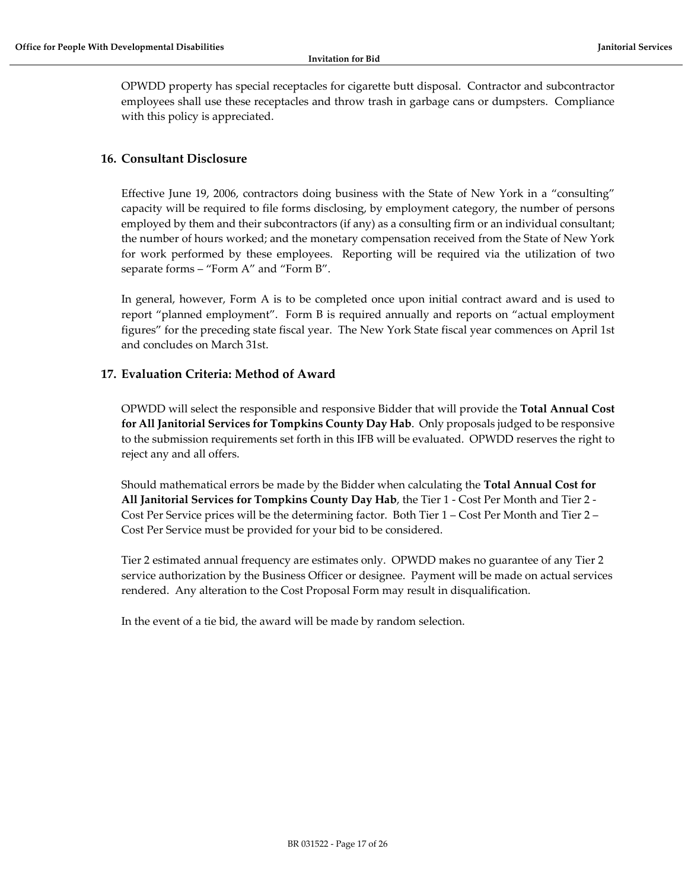OPWDD property has special receptacles for cigarette butt disposal. Contractor and subcontractor employees shall use these receptacles and throw trash in garbage cans or dumpsters. Compliance with this policy is appreciated.

# <span id="page-16-0"></span>**16. Consultant Disclosure**

Effective June 19, 2006, contractors doing business with the State of New York in a "consulting" capacity will be required to file forms disclosing, by employment category, the number of persons employed by them and their subcontractors (if any) as a consulting firm or an individual consultant; the number of hours worked; and the monetary compensation received from the State of New York for work performed by these employees. Reporting will be required via the utilization of two separate forms – "Form A" and "Form B".

In general, however, Form A is to be completed once upon initial contract award and is used to report "planned employment". Form B is required annually and reports on "actual employment figures" for the preceding state fiscal year. The New York State fiscal year commences on April 1st and concludes on March 31st.

# <span id="page-16-1"></span>**17. Evaluation Criteria: Method of Award**

OPWDD will select the responsible and responsive Bidder that will provide the **Total Annual Cost for All Janitorial Services for Tompkins County Day Hab**. Only proposals judged to be responsive to the submission requirements set forth in this IFB will be evaluated. OPWDD reserves the right to reject any and all offers.

Should mathematical errors be made by the Bidder when calculating the **Total Annual Cost for All Janitorial Services for Tompkins County Day Hab**, the Tier 1 - Cost Per Month and Tier 2 - Cost Per Service prices will be the determining factor. Both Tier 1 – Cost Per Month and Tier 2 – Cost Per Service must be provided for your bid to be considered.

Tier 2 estimated annual frequency are estimates only. OPWDD makes no guarantee of any Tier 2 service authorization by the Business Officer or designee. Payment will be made on actual services rendered. Any alteration to the Cost Proposal Form may result in disqualification.

In the event of a tie bid, the award will be made by random selection.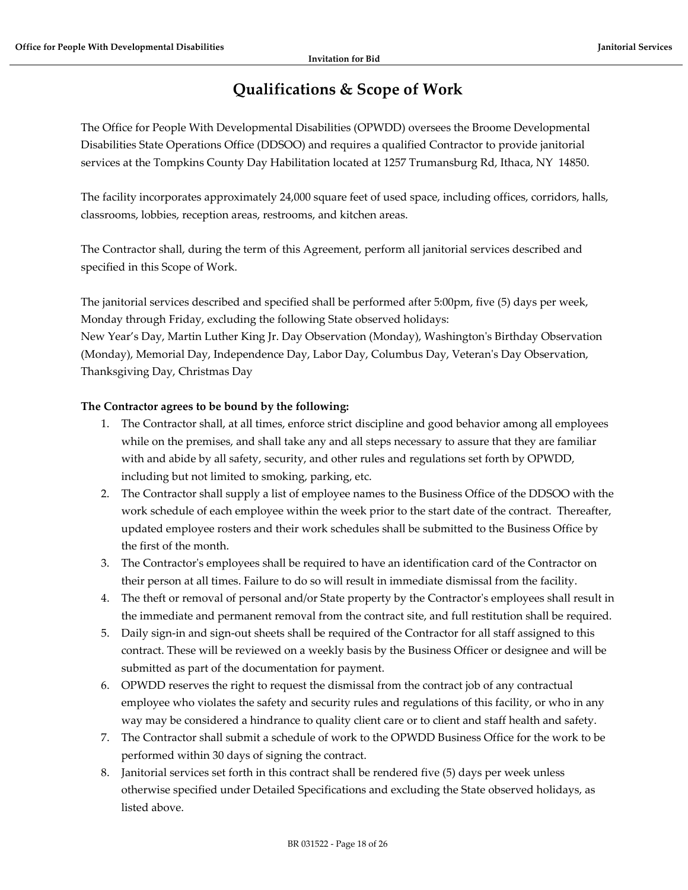# **Qualifications & Scope of Work**

<span id="page-17-0"></span>The Office for People With Developmental Disabilities (OPWDD) oversees the Broome Developmental Disabilities State Operations Office (DDSOO) and requires a qualified Contractor to provide janitorial services at the Tompkins County Day Habilitation located at 1257 Trumansburg Rd, Ithaca, NY 14850.

The facility incorporates approximately 24,000 square feet of used space, including offices, corridors, halls, classrooms, lobbies, reception areas, restrooms, and kitchen areas.

The Contractor shall, during the term of this Agreement, perform all janitorial services described and specified in this Scope of Work.

The janitorial services described and specified shall be performed after 5:00pm, five (5) days per week, Monday through Friday, excluding the following State observed holidays: New Year's Day, Martin Luther King Jr. Day Observation (Monday), Washington's Birthday Observation (Monday), Memorial Day, Independence Day, Labor Day, Columbus Day, Veteran's Day Observation, Thanksgiving Day, Christmas Day

# **The Contractor agrees to be bound by the following:**

- 1. The Contractor shall, at all times, enforce strict discipline and good behavior among all employees while on the premises, and shall take any and all steps necessary to assure that they are familiar with and abide by all safety, security, and other rules and regulations set forth by OPWDD, including but not limited to smoking, parking, etc.
- 2. The Contractor shall supply a list of employee names to the Business Office of the DDSOO with the work schedule of each employee within the week prior to the start date of the contract. Thereafter, updated employee rosters and their work schedules shall be submitted to the Business Office by the first of the month.
- 3. The Contractor's employees shall be required to have an identification card of the Contractor on their person at all times. Failure to do so will result in immediate dismissal from the facility.
- 4. The theft or removal of personal and/or State property by the Contractor's employees shall result in the immediate and permanent removal from the contract site, and full restitution shall be required.
- 5. Daily sign-in and sign-out sheets shall be required of the Contractor for all staff assigned to this contract. These will be reviewed on a weekly basis by the Business Officer or designee and will be submitted as part of the documentation for payment.
- 6. OPWDD reserves the right to request the dismissal from the contract job of any contractual employee who violates the safety and security rules and regulations of this facility, or who in any way may be considered a hindrance to quality client care or to client and staff health and safety.
- 7. The Contractor shall submit a schedule of work to the OPWDD Business Office for the work to be performed within 30 days of signing the contract.
- 8. Janitorial services set forth in this contract shall be rendered five (5) days per week unless otherwise specified under Detailed Specifications and excluding the State observed holidays, as listed above.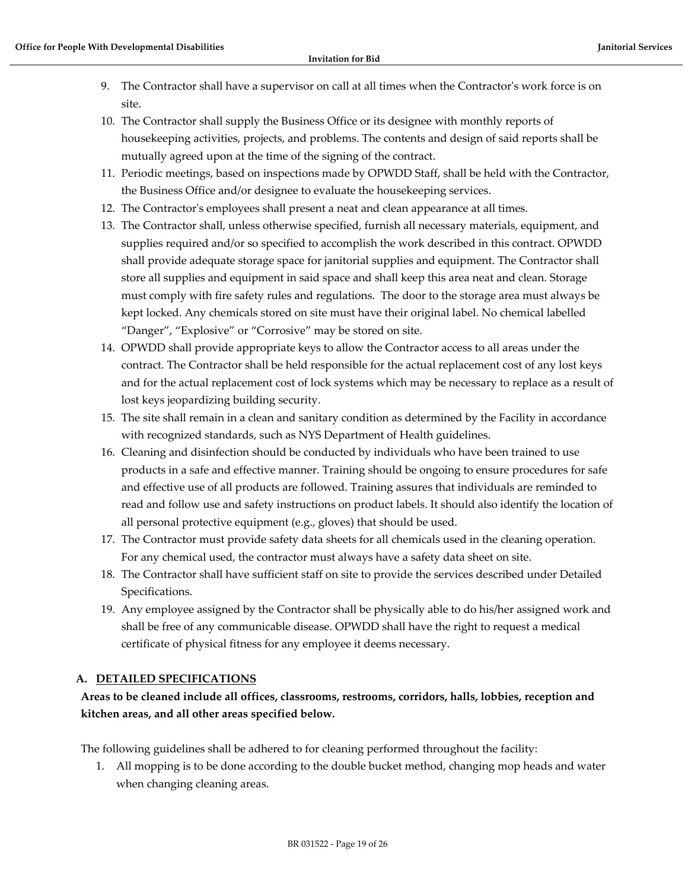- 9. The Contractor shall have a supervisor on call at all times when the Contractor's work force is on site.
- 10. The Contractor shall supply the Business Office or its designee with monthly reports of housekeeping activities, projects, and problems. The contents and design of said reports shall be mutually agreed upon at the time of the signing of the contract.
- 11. Periodic meetings, based on inspections made by OPWDD Staff, shall be held with the Contractor, the Business Office and/or designee to evaluate the housekeeping services.
- 12. The Contractor's employees shall present a neat and clean appearance at all times.
- 13. The Contractor shall, unless otherwise specified, furnish all necessary materials, equipment, and supplies required and/or so specified to accomplish the work described in this contract. OPWDD shall provide adequate storage space for janitorial supplies and equipment. The Contractor shall store all supplies and equipment in said space and shall keep this area neat and clean. Storage must comply with fire safety rules and regulations. The door to the storage area must always be kept locked. Any chemicals stored on site must have their original label. No chemical labelled "Danger", "Explosive" or "Corrosive" may be stored on site.
- 14. OPWDD shall provide appropriate keys to allow the Contractor access to all areas under the contract. The Contractor shall be held responsible for the actual replacement cost of any lost keys and for the actual replacement cost of lock systems which may be necessary to replace as a result of lost keys jeopardizing building security.
- 15. The site shall remain in a clean and sanitary condition as determined by the Facility in accordance with recognized standards, such as NYS Department of Health guidelines.
- 16. Cleaning and disinfection should be conducted by individuals who have been trained to use products in a safe and effective manner. Training should be ongoing to ensure procedures for safe and effective use of all products are followed. Training assures that individuals are reminded to read and follow use and safety instructions on product labels. It should also identify the location of all personal protective equipment (e.g., gloves) that should be used.
- 17. The Contractor must provide safety data sheets for all chemicals used in the cleaning operation. For any chemical used, the contractor must always have a safety data sheet on site.
- 18. The Contractor shall have sufficient staff on site to provide the services described under Detailed Specifications.
- 19. Any employee assigned by the Contractor shall be physically able to do his/her assigned work and shall be free of any communicable disease. OPWDD shall have the right to request a medical certificate of physical fitness for any employee it deems necessary.

# **A. DETAILED SPECIFICATIONS**

# **Areas to be cleaned include all offices, classrooms, restrooms, corridors, halls, lobbies, reception and kitchen areas, and all other areas specified below.**

The following guidelines shall be adhered to for cleaning performed throughout the facility:

1. All mopping is to be done according to the double bucket method, changing mop heads and water when changing cleaning areas.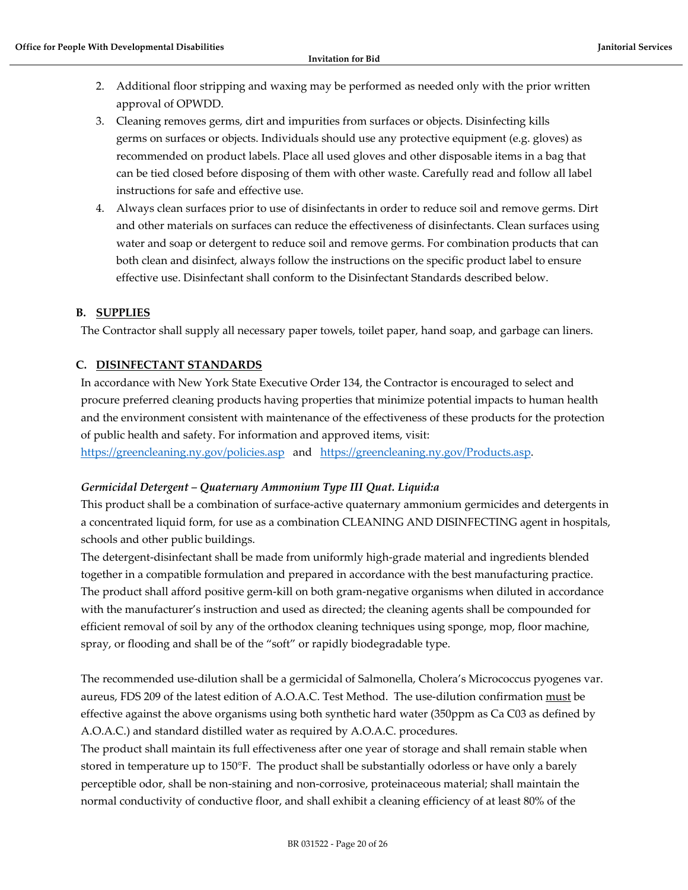- 2. Additional floor stripping and waxing may be performed as needed only with the prior written approval of OPWDD.
- 3. Cleaning removes germs, dirt and impurities from surfaces or objects. Disinfecting kills germs on surfaces or objects. Individuals should use any protective equipment (e.g. gloves) as recommended on product labels. Place all used gloves and other disposable items in a bag that can be tied closed before disposing of them with other waste. Carefully read and follow all label instructions for safe and effective use.
- 4. Always clean surfaces prior to use of disinfectants in order to reduce soil and remove germs. Dirt and other materials on surfaces can reduce the effectiveness of disinfectants. Clean surfaces using water and soap or detergent to reduce soil and remove germs. For combination products that can both clean and disinfect, always follow the instructions on the specific product label to ensure effective use. Disinfectant shall conform to the Disinfectant Standards described below.

# **B. SUPPLIES**

The Contractor shall supply all necessary paper towels, toilet paper, hand soap, and garbage can liners.

## **C. DISINFECTANT STANDARDS**

In accordance with New York State Executive Order 134, the Contractor is encouraged to select and procure preferred cleaning products having properties that minimize potential impacts to human health and the environment consistent with maintenance of the effectiveness of these products for the protection of public health and safety. For information and approved items, visit:

<https://greencleaning.ny.gov/policies.asp>and [https://greencleaning.ny.gov/Products.asp.](https://greencleaning.ny.gov/Products.asp)

#### *Germicidal Detergent – Quaternary Ammonium Type III Quat. Liquid:a*

This product shall be a combination of surface-active quaternary ammonium germicides and detergents in a concentrated liquid form, for use as a combination CLEANING AND DISINFECTING agent in hospitals, schools and other public buildings.

The detergent-disinfectant shall be made from uniformly high-grade material and ingredients blended together in a compatible formulation and prepared in accordance with the best manufacturing practice. The product shall afford positive germ-kill on both gram-negative organisms when diluted in accordance with the manufacturer's instruction and used as directed; the cleaning agents shall be compounded for efficient removal of soil by any of the orthodox cleaning techniques using sponge, mop, floor machine, spray, or flooding and shall be of the "soft" or rapidly biodegradable type.

The recommended use-dilution shall be a germicidal of Salmonella, Cholera's Micrococcus pyogenes var. aureus, FDS 209 of the latest edition of A.O.A.C. Test Method. The use-dilution confirmation must be effective against the above organisms using both synthetic hard water (350ppm as Ca C03 as defined by A.O.A.C.) and standard distilled water as required by A.O.A.C. procedures.

The product shall maintain its full effectiveness after one year of storage and shall remain stable when stored in temperature up to 150°F. The product shall be substantially odorless or have only a barely perceptible odor, shall be non-staining and non-corrosive, proteinaceous material; shall maintain the normal conductivity of conductive floor, and shall exhibit a cleaning efficiency of at least 80% of the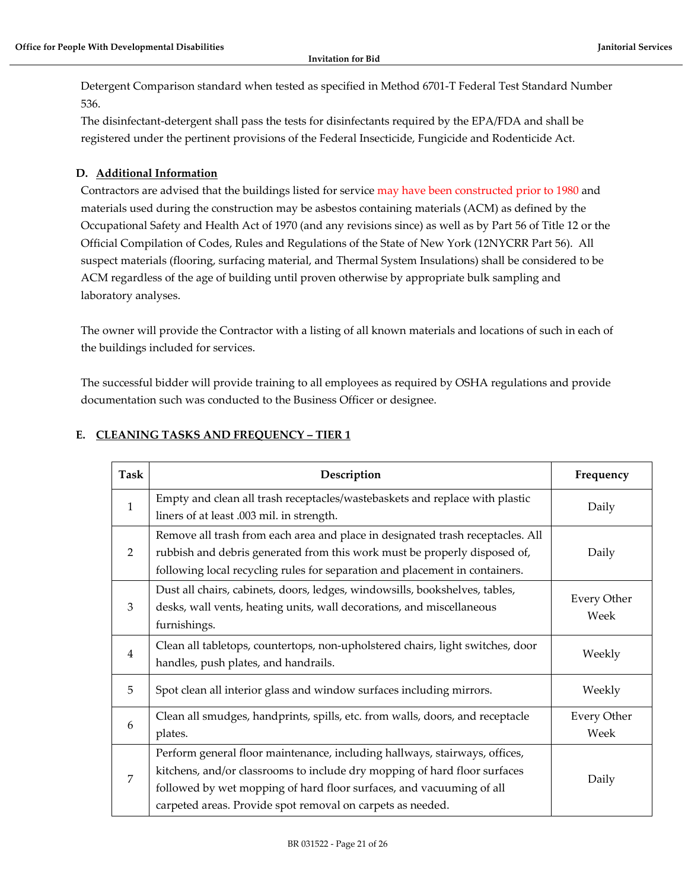Detergent Comparison standard when tested as specified in Method 6701-T Federal Test Standard Number 536.

The disinfectant-detergent shall pass the tests for disinfectants required by the EPA/FDA and shall be registered under the pertinent provisions of the Federal Insecticide, Fungicide and Rodenticide Act.

# **D. Additional Information**

Contractors are advised that the buildings listed for service may have been constructed prior to 1980 and materials used during the construction may be asbestos containing materials (ACM) as defined by the Occupational Safety and Health Act of 1970 (and any revisions since) as well as by Part 56 of Title 12 or the Official Compilation of Codes, Rules and Regulations of the State of New York (12NYCRR Part 56). All suspect materials (flooring, surfacing material, and Thermal System Insulations) shall be considered to be ACM regardless of the age of building until proven otherwise by appropriate bulk sampling and laboratory analyses.

The owner will provide the Contractor with a listing of all known materials and locations of such in each of the buildings included for services.

The successful bidder will provide training to all employees as required by OSHA regulations and provide documentation such was conducted to the Business Officer or designee.

# **E. CLEANING TASKS AND FREQUENCY – TIER 1**

| Task           | Description                                                                                                                                                                                                                                                                                   | Frequency                  |
|----------------|-----------------------------------------------------------------------------------------------------------------------------------------------------------------------------------------------------------------------------------------------------------------------------------------------|----------------------------|
| $\mathbf{1}$   | Empty and clean all trash receptacles/wastebaskets and replace with plastic<br>liners of at least .003 mil. in strength.                                                                                                                                                                      | Daily                      |
| 2              | Remove all trash from each area and place in designated trash receptacles. All<br>rubbish and debris generated from this work must be properly disposed of,<br>following local recycling rules for separation and placement in containers.                                                    | Daily                      |
| 3              | Dust all chairs, cabinets, doors, ledges, windowsills, bookshelves, tables,<br>desks, wall vents, heating units, wall decorations, and miscellaneous<br>furnishings.                                                                                                                          | <b>Every Other</b><br>Week |
| $\overline{4}$ | Clean all tabletops, countertops, non-upholstered chairs, light switches, door<br>handles, push plates, and handrails.                                                                                                                                                                        | Weekly                     |
| 5              | Spot clean all interior glass and window surfaces including mirrors.                                                                                                                                                                                                                          | Weekly                     |
| 6              | Clean all smudges, handprints, spills, etc. from walls, doors, and receptacle<br>plates.                                                                                                                                                                                                      | <b>Every Other</b><br>Week |
| 7              | Perform general floor maintenance, including hallways, stairways, offices,<br>kitchens, and/or classrooms to include dry mopping of hard floor surfaces<br>followed by wet mopping of hard floor surfaces, and vacuuming of all<br>carpeted areas. Provide spot removal on carpets as needed. | Daily                      |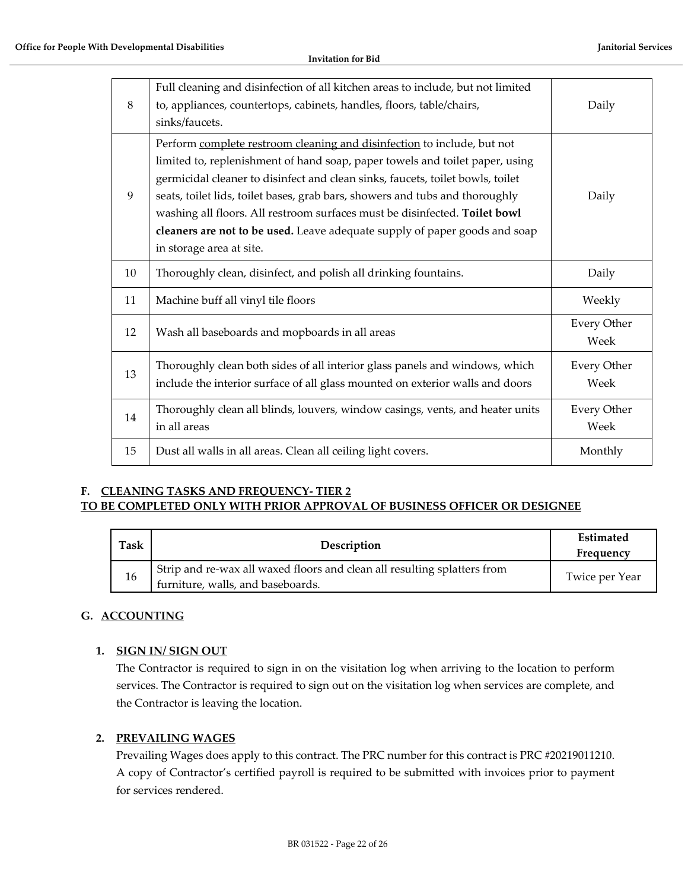| 8  | Full cleaning and disinfection of all kitchen areas to include, but not limited<br>to, appliances, countertops, cabinets, handles, floors, table/chairs,<br>sinks/faucets.                                                                                                                                                                                                                                                                                                                                        | Daily                      |
|----|-------------------------------------------------------------------------------------------------------------------------------------------------------------------------------------------------------------------------------------------------------------------------------------------------------------------------------------------------------------------------------------------------------------------------------------------------------------------------------------------------------------------|----------------------------|
| 9  | Perform complete restroom cleaning and disinfection to include, but not<br>limited to, replenishment of hand soap, paper towels and toilet paper, using<br>germicidal cleaner to disinfect and clean sinks, faucets, toilet bowls, toilet<br>seats, toilet lids, toilet bases, grab bars, showers and tubs and thoroughly<br>washing all floors. All restroom surfaces must be disinfected. Toilet bowl<br>cleaners are not to be used. Leave adequate supply of paper goods and soap<br>in storage area at site. | Daily                      |
| 10 | Thoroughly clean, disinfect, and polish all drinking fountains.                                                                                                                                                                                                                                                                                                                                                                                                                                                   | Daily                      |
| 11 | Machine buff all vinyl tile floors                                                                                                                                                                                                                                                                                                                                                                                                                                                                                | Weekly                     |
| 12 | Wash all baseboards and mopboards in all areas                                                                                                                                                                                                                                                                                                                                                                                                                                                                    | <b>Every Other</b><br>Week |
| 13 | Thoroughly clean both sides of all interior glass panels and windows, which<br>include the interior surface of all glass mounted on exterior walls and doors                                                                                                                                                                                                                                                                                                                                                      | <b>Every Other</b><br>Week |
| 14 | Thoroughly clean all blinds, louvers, window casings, vents, and heater units<br>in all areas                                                                                                                                                                                                                                                                                                                                                                                                                     | <b>Every Other</b><br>Week |
| 15 | Dust all walls in all areas. Clean all ceiling light covers.                                                                                                                                                                                                                                                                                                                                                                                                                                                      | Monthly                    |

# **F. CLEANING TASKS AND FREQUENCY- TIER 2 TO BE COMPLETED ONLY WITH PRIOR APPROVAL OF BUSINESS OFFICER OR DESIGNEE**

| <b>Task</b> | Description                                                                                                   | <b>Estimated</b><br>Frequency |
|-------------|---------------------------------------------------------------------------------------------------------------|-------------------------------|
| 16          | Strip and re-wax all waxed floors and clean all resulting splatters from<br>furniture, walls, and baseboards. | Twice per Year                |

# **G. ACCOUNTING**

# **1. SIGN IN/ SIGN OUT**

The Contractor is required to sign in on the visitation log when arriving to the location to perform services. The Contractor is required to sign out on the visitation log when services are complete, and the Contractor is leaving the location.

# **2. PREVAILING WAGES**

Prevailing Wages does apply to this contract. The PRC number for this contract is PRC #20219011210. A copy of Contractor's certified payroll is required to be submitted with invoices prior to payment for services rendered.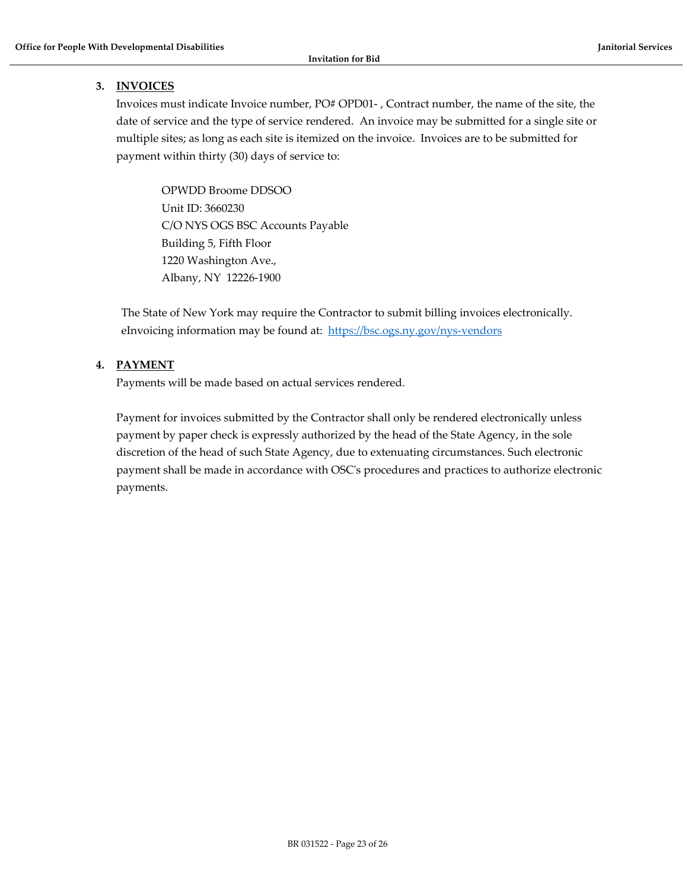#### **3. INVOICES**

Invoices must indicate Invoice number, PO# OPD01- , Contract number, the name of the site, the date of service and the type of service rendered. An invoice may be submitted for a single site or multiple sites; as long as each site is itemized on the invoice. Invoices are to be submitted for payment within thirty (30) days of service to:

OPWDD Broome DDSOO Unit ID: 3660230 C/O NYS OGS BSC Accounts Payable Building 5, Fifth Floor 1220 Washington Ave., Albany, NY 12226-1900

The State of New York may require the Contractor to submit billing invoices electronically. eInvoicing information may be found at: <https://bsc.ogs.ny.gov/nys-vendors>

## **4. PAYMENT**

Payments will be made based on actual services rendered.

Payment for invoices submitted by the Contractor shall only be rendered electronically unless payment by paper check is expressly authorized by the head of the State Agency, in the sole discretion of the head of such State Agency, due to extenuating circumstances. Such electronic payment shall be made in accordance with OSC's procedures and practices to authorize electronic payments.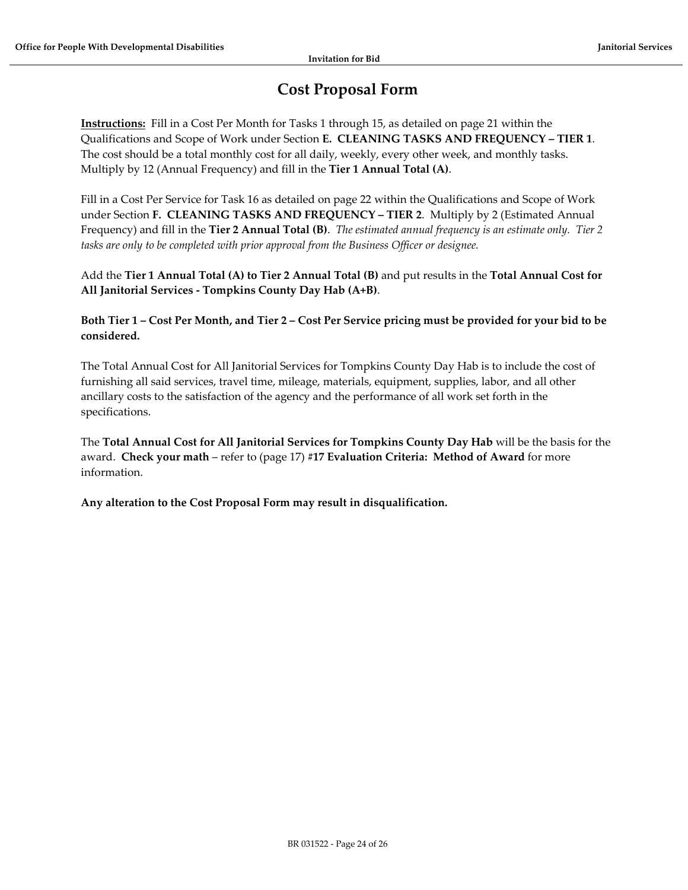# **Cost Proposal Form**

<span id="page-23-0"></span>**Instructions:** Fill in a Cost Per Month for Tasks 1 through 15, as detailed on page 21 within the Qualifications and Scope of Work under Section **E. CLEANING TASKS AND FREQUENCY – TIER 1**. The cost should be a total monthly cost for all daily, weekly, every other week, and monthly tasks. Multiply by 12 (Annual Frequency) and fill in the **Tier 1 Annual Total (A)**.

Fill in a Cost Per Service for Task 16 as detailed on page 22 within the Qualifications and Scope of Work under Section **F. CLEANING TASKS AND FREQUENCY – TIER 2**. Multiply by 2 (Estimated Annual Frequency) and fill in the **Tier 2 Annual Total (B)**. *The estimated annual frequency is an estimate only. Tier 2 tasks are only to be completed with prior approval from the Business Officer or designee.*

Add the **Tier 1 Annual Total (A) to Tier 2 Annual Total (B)** and put results in the **Total Annual Cost for All Janitorial Services - Tompkins County Day Hab (A+B)**.

**Both Tier 1 – Cost Per Month, and Tier 2 – Cost Per Service pricing must be provided for your bid to be considered.**

The Total Annual Cost for All Janitorial Services for Tompkins County Day Hab is to include the cost of furnishing all said services, travel time, mileage, materials, equipment, supplies, labor, and all other ancillary costs to the satisfaction of the agency and the performance of all work set forth in the specifications.

The **Total Annual Cost for All Janitorial Services for Tompkins County Day Hab** will be the basis for the award. **Check your math** – refer to (page 17) **#17 Evaluation Criteria: Method of Award** for more information.

**Any alteration to the Cost Proposal Form may result in disqualification.**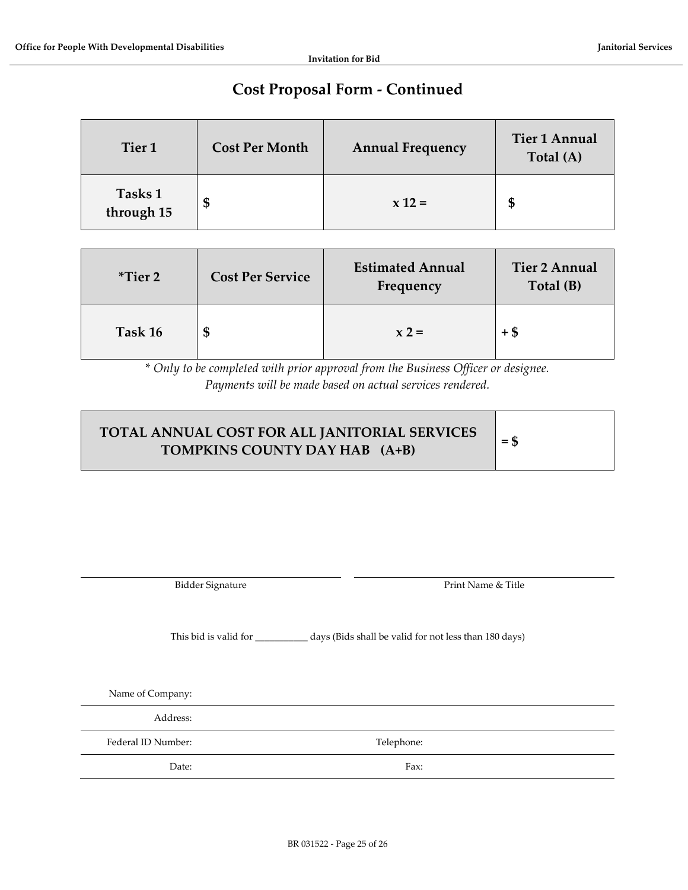# **Cost Proposal Form - Continued**

| Tier <sub>1</sub>     | <b>Cost Per Month</b> | <b>Annual Frequency</b> | <b>Tier 1 Annual</b><br>Total (A) |
|-----------------------|-----------------------|-------------------------|-----------------------------------|
| Tasks 1<br>through 15 | Φ                     | $x 12 =$                | \$                                |

| $*Tier 2$ | <b>Cost Per Service</b> | <b>Estimated Annual</b><br>Frequency | <b>Tier 2 Annual</b><br>Total (B) |
|-----------|-------------------------|--------------------------------------|-----------------------------------|
| Task 16   | Œ                       | $x 2 =$                              | +\$                               |

\* *Only to be completed with prior approval from the Business Officer or designee. Payments will be made based on actual services rendered.*

| TOTAL ANNUAL COST FOR ALL JANITORIAL SERVICES<br>TOMPKINS COUNTY DAY HAB (A+B) | $=$ \$ |
|--------------------------------------------------------------------------------|--------|
|                                                                                |        |

Bidder Signature **Print Name & Title** 

This bid is valid for \_\_\_\_\_\_\_\_\_\_\_ days (Bids shall be valid for not less than 180 days)

Name of Company:

Address:

Federal ID Number: Telephone:

Date: Fax: